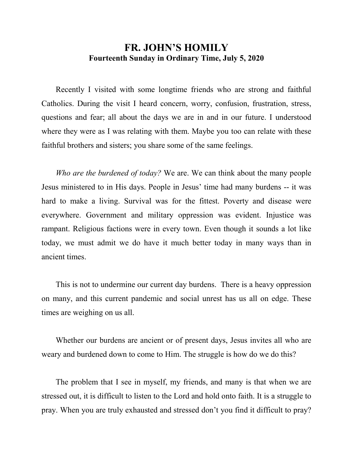## **FR. JOHN'S HOMILY Fourteenth Sunday in Ordinary Time, July 5, 2020**

 Recently I visited with some longtime friends who are strong and faithful Catholics. During the visit I heard concern, worry, confusion, frustration, stress, questions and fear; all about the days we are in and in our future. I understood where they were as I was relating with them. Maybe you too can relate with these faithful brothers and sisters; you share some of the same feelings.

 *Who are the burdened of today?* We are. We can think about the many people Jesus ministered to in His days. People in Jesus' time had many burdens -- it was hard to make a living. Survival was for the fittest. Poverty and disease were everywhere. Government and military oppression was evident. Injustice was rampant. Religious factions were in every town. Even though it sounds a lot like today, we must admit we do have it much better today in many ways than in ancient times.

 This is not to undermine our current day burdens. There is a heavy oppression on many, and this current pandemic and social unrest has us all on edge. These times are weighing on us all.

 Whether our burdens are ancient or of present days, Jesus invites all who are weary and burdened down to come to Him. The struggle is how do we do this?

 The problem that I see in myself, my friends, and many is that when we are stressed out, it is difficult to listen to the Lord and hold onto faith. It is a struggle to pray. When you are truly exhausted and stressed don't you find it difficult to pray?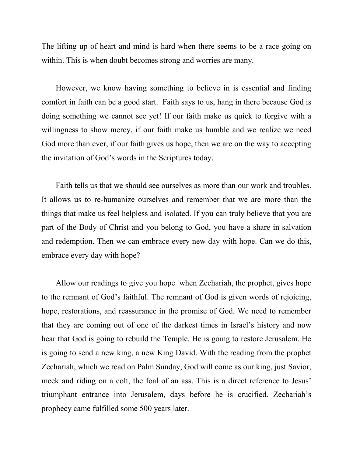The lifting up of heart and mind is hard when there seems to be a race going on within. This is when doubt becomes strong and worries are many.

 However, we know having something to believe in is essential and finding comfort in faith can be a good start. Faith says to us, hang in there because God is doing something we cannot see yet! If our faith make us quick to forgive with a willingness to show mercy, if our faith make us humble and we realize we need God more than ever, if our faith gives us hope, then we are on the way to accepting the invitation of God's words in the Scriptures today.

 Faith tells us that we should see ourselves as more than our work and troubles. It allows us to re-humanize ourselves and remember that we are more than the things that make us feel helpless and isolated. If you can truly believe that you are part of the Body of Christ and you belong to God, you have a share in salvation and redemption. Then we can embrace every new day with hope. Can we do this, embrace every day with hope?

 Allow our readings to give you hope when Zechariah, the prophet, gives hope to the remnant of God's faithful. The remnant of God is given words of rejoicing, hope, restorations, and reassurance in the promise of God. We need to remember that they are coming out of one of the darkest times in Israel's history and now hear that God is going to rebuild the Temple. He is going to restore Jerusalem. He is going to send a new king, a new King David. With the reading from the prophet Zechariah, which we read on Palm Sunday, God will come as our king, just Savior, meek and riding on a colt, the foal of an ass. This is a direct reference to Jesus' triumphant entrance into Jerusalem, days before he is crucified. Zechariah's prophecy came fulfilled some 500 years later.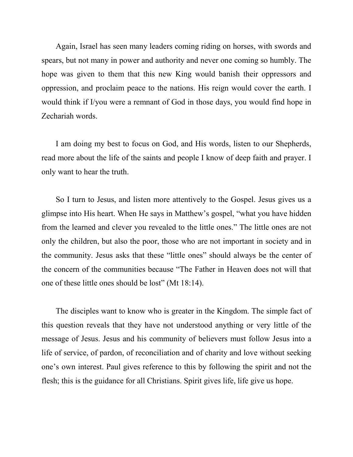Again, Israel has seen many leaders coming riding on horses, with swords and spears, but not many in power and authority and never one coming so humbly. The hope was given to them that this new King would banish their oppressors and oppression, and proclaim peace to the nations. His reign would cover the earth. I would think if I/you were a remnant of God in those days, you would find hope in Zechariah words.

 I am doing my best to focus on God, and His words, listen to our Shepherds, read more about the life of the saints and people I know of deep faith and prayer. I only want to hear the truth.

 So I turn to Jesus, and listen more attentively to the Gospel. Jesus gives us a glimpse into His heart. When He says in Matthew's gospel, "what you have hidden from the learned and clever you revealed to the little ones." The little ones are not only the children, but also the poor, those who are not important in society and in the community. Jesus asks that these "little ones" should always be the center of the concern of the communities because "The Father in Heaven does not will that one of these little ones should be lost" (Mt 18:14).

 The disciples want to know who is greater in the Kingdom. The simple fact of this question reveals that they have not understood anything or very little of the message of Jesus. Jesus and his community of believers must follow Jesus into a life of service, of pardon, of reconciliation and of charity and love without seeking one's own interest. Paul gives reference to this by following the spirit and not the flesh; this is the guidance for all Christians. Spirit gives life, life give us hope.